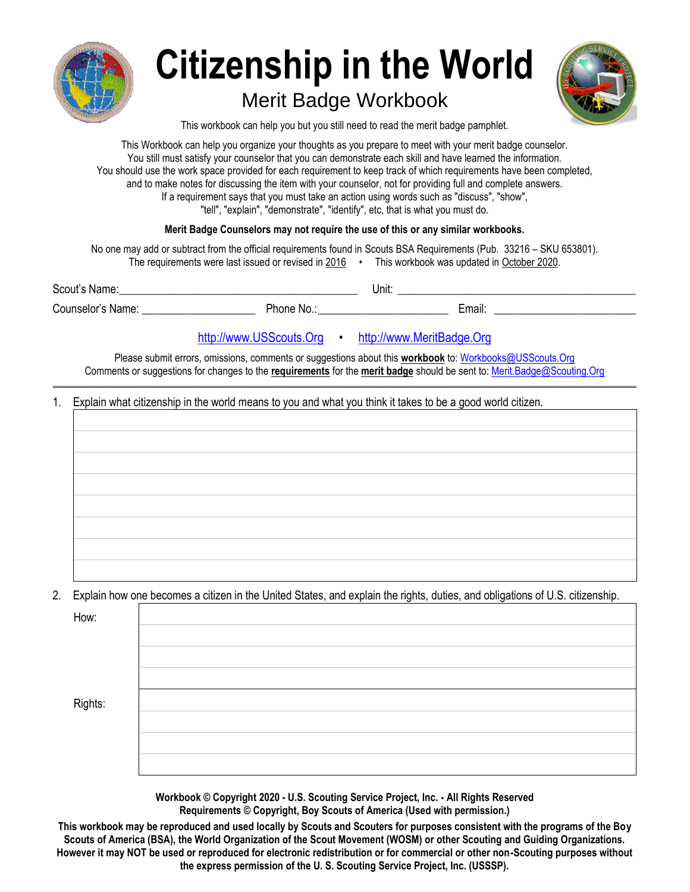

# **Citizenship in the World**

# Merit Badge Workbook



This workbook can help you but you still need to read the merit badge pamphlet.

This Workbook can help you organize your thoughts as you prepare to meet with your merit badge counselor. You still must satisfy your counselor that you can demonstrate each skill and have learned the information. You should use the work space provided for each requirement to keep track of which requirements have been completed, and to make notes for discussing the item with your counselor, not for providing full and complete answers. If a requirement says that you must take an action using words such as "discuss", "show", "tell", "explain", "demonstrate", "identify", etc, that is what you must do.

#### **Merit Badge Counselors may not require the use of this or any similar workbooks.**

No one may add or subtract from the official requirements found in Scouts BSA Requirements (Pub. 33216 – SKU 653801). The requirements were last issued or revised in  $2016$  • This workbook was updated in October 2020.

| -<br>י ההי<br>Namo<br>_____ | Unit:<br>___ |
|-----------------------------|--------------|
|                             |              |

Counselor's Name: \_\_\_\_\_\_\_\_\_\_\_\_\_\_\_\_\_\_\_\_ Phone No.:\_\_\_\_\_\_\_\_\_\_\_\_\_\_\_\_\_\_\_\_\_\_\_ Email: \_\_\_\_\_\_\_\_\_\_\_\_\_\_\_\_\_\_\_\_\_\_\_\_\_

# [http://www.USScouts.Org](http://www.usscouts.org/) • [http://www.MeritBadge.Org](http://www.meritbadge.org/)

Please submit errors, omissions, comments or suggestions about this **workbook** to[: Workbooks@USScouts.Org](mailto:Workbooks@usscouts.org?subject=Merit%20Badge%20Workbooks) Comments or suggestions for changes to the **requirements** for the **merit badge** should be sent to[: Merit.Badge@Scouting.Org](mailto:merit.badge@scouting.org) *\_\_\_\_\_\_\_\_\_\_\_\_\_\_\_\_\_\_\_\_\_\_\_\_\_\_\_\_\_\_\_\_\_\_\_\_\_\_\_\_\_\_\_\_\_\_\_\_\_\_\_\_\_\_\_\_\_\_\_\_\_\_\_\_\_\_\_\_\_\_\_\_\_\_\_\_\_\_\_\_\_\_\_\_\_\_\_\_\_\_\_\_\_\_\_\_\_\_\_\_\_\_\_\_\_\_\_\_\_\_\_\_\_\_\_\_\_\_\_\_\_\_\_\_\_\_\_\_\_\_\_\_\_\_\_\_\_\_\_\_\_\_*

1. Explain what citizenship in the world means to you and what you think it takes to be a good world citizen.

2. Explain how one becomes a citizen in the United States, and explain the rights, duties, and obligations of U.S. citizenship.

| How:    |  |
|---------|--|
|         |  |
|         |  |
|         |  |
| Rights: |  |
|         |  |
|         |  |
|         |  |

**Workbook © Copyright 2020 - U.S. Scouting Service Project, Inc. - All Rights Reserved Requirements © Copyright, Boy Scouts of America (Used with permission.)**

**This workbook may be reproduced and used locally by Scouts and Scouters for purposes consistent with the programs of the Boy Scouts of America (BSA), the World Organization of the Scout Movement (WOSM) or other Scouting and Guiding Organizations. However it may NOT be used or reproduced for electronic redistribution or for commercial or other non-Scouting purposes without the express permission of the U. S. Scouting Service Project, Inc. (USSSP).**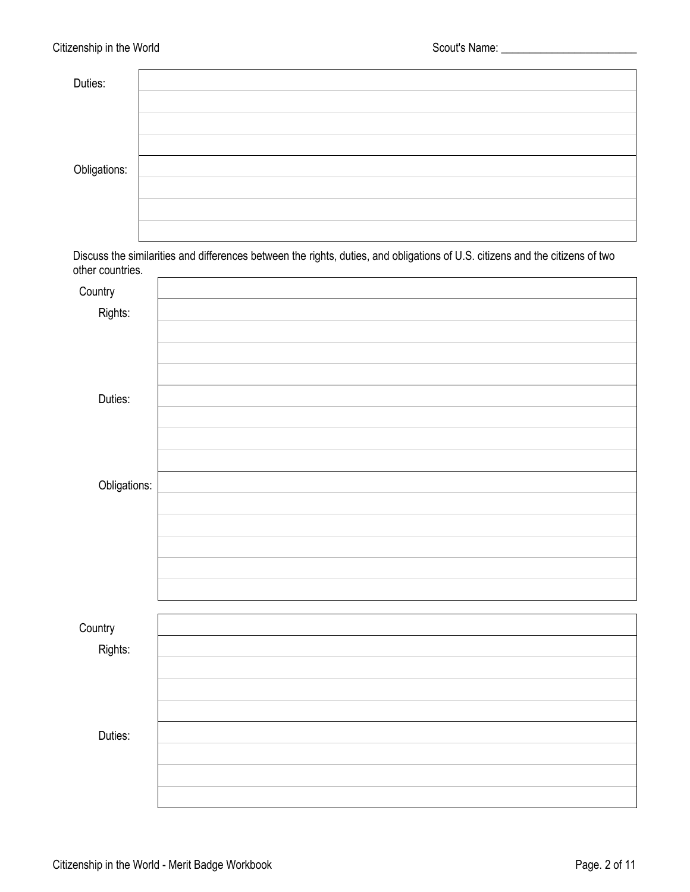| Duties:      |  |
|--------------|--|
|              |  |
|              |  |
|              |  |
| Obligations: |  |
|              |  |
|              |  |
|              |  |

Discuss the similarities and differences between the rights, duties, and obligations of U.S. citizens and the citizens of two other countries. 

| Country      |  |
|--------------|--|
| Rights:      |  |
|              |  |
|              |  |
|              |  |
| Duties:      |  |
|              |  |
|              |  |
|              |  |
| Obligations: |  |
|              |  |
|              |  |
|              |  |
|              |  |
|              |  |
|              |  |
| Country      |  |
| Rights:      |  |
|              |  |
|              |  |
|              |  |
| Duties:      |  |
|              |  |
|              |  |
|              |  |
|              |  |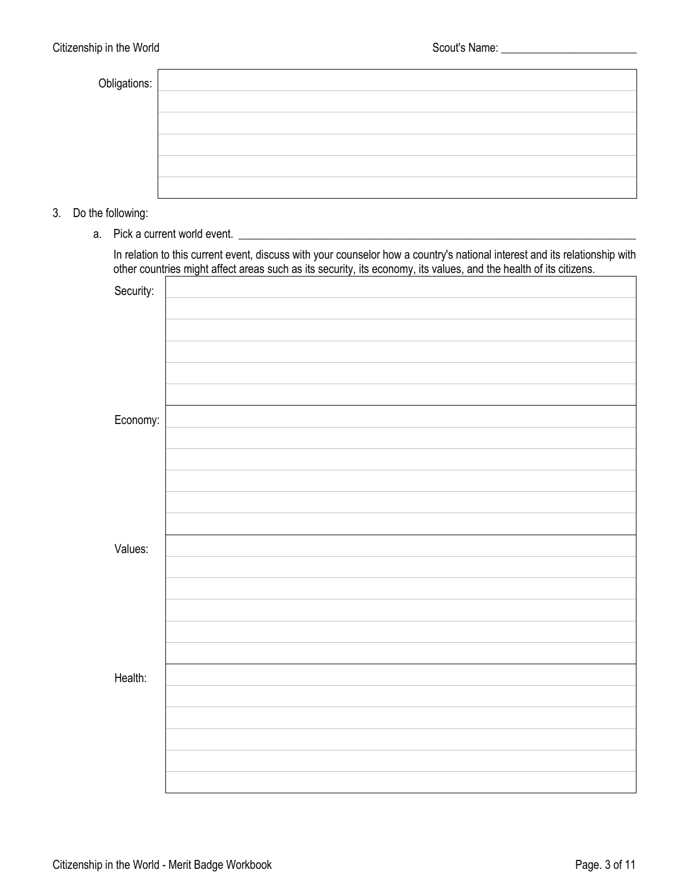| Obligations: |  |
|--------------|--|
|              |  |
|              |  |
|              |  |
|              |  |
|              |  |

3. Do the following:

a. Pick a current world event. \_\_\_\_\_\_\_\_\_\_\_\_\_\_\_\_\_\_\_\_\_\_\_\_\_\_\_\_\_\_\_\_\_\_\_\_\_\_\_\_\_\_\_\_\_\_\_\_\_\_\_\_\_\_\_\_\_\_\_\_\_\_\_\_\_\_\_\_\_\_

In relation to this current event, discuss with your counselor how a country's national interest and its relationship with other countries might affect areas such as its security, its economy, its values, and the health of its citizens.

| Security: |  |
|-----------|--|
|           |  |
|           |  |
|           |  |
|           |  |
|           |  |
| Economy:  |  |
|           |  |
|           |  |
|           |  |
|           |  |
|           |  |
| Values:   |  |
|           |  |
|           |  |
|           |  |
|           |  |
|           |  |
| Health:   |  |
|           |  |
|           |  |
|           |  |
|           |  |
|           |  |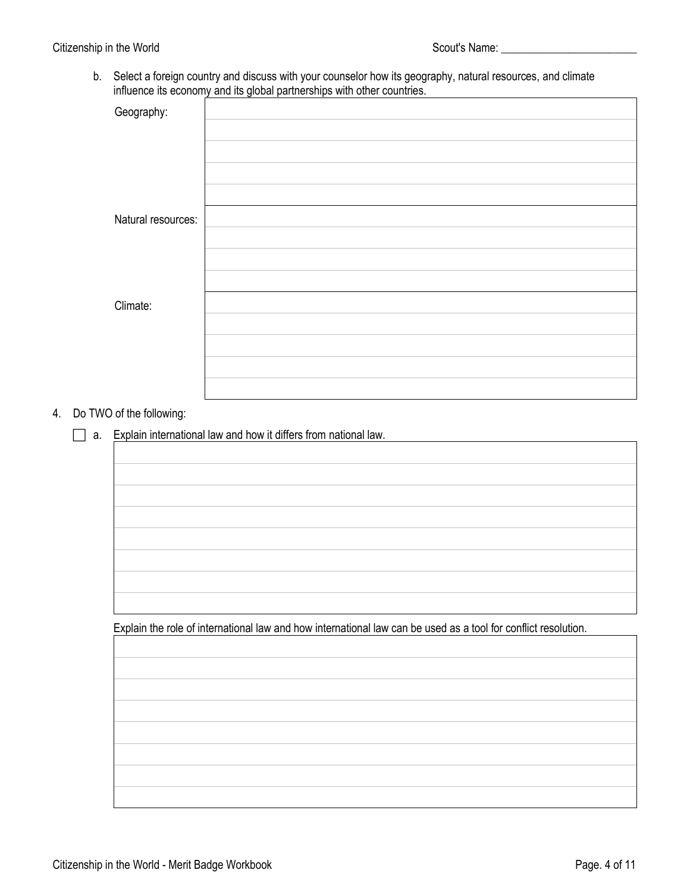b. Select a foreign country and discuss with your counselor how its geography, natural resources, and climate influence its economy and its global partnerships with other countries.

| Geography:         |  |
|--------------------|--|
|                    |  |
|                    |  |
|                    |  |
|                    |  |
| Natural resources: |  |
|                    |  |
|                    |  |
|                    |  |
| Climate:           |  |
|                    |  |
|                    |  |
|                    |  |
|                    |  |

## 4. Do TWO of the following:

 $\Box$  a. Explain international law and how it differs from national law.

Explain the role of international law and how international law can be used as a tool for conflict resolution.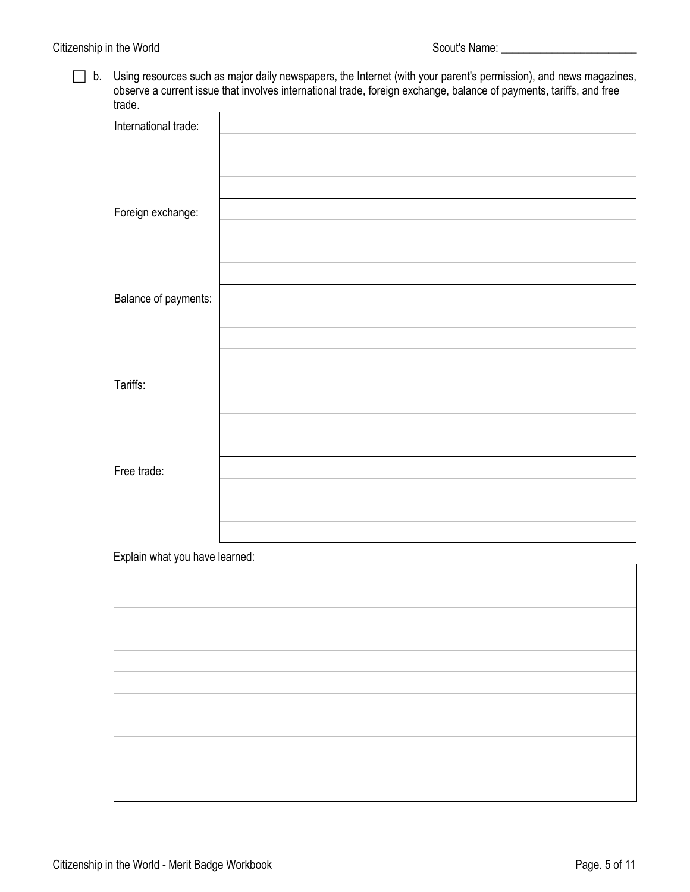□ b. Using resources such as major daily newspapers, the Internet (with your parent's permission), and news magazines, observe a current issue that involves international trade, foreign exchange, balance of payments, tariffs, and free trade.

| trage.                         |  |
|--------------------------------|--|
| International trade:           |  |
|                                |  |
|                                |  |
|                                |  |
|                                |  |
| Foreign exchange:              |  |
|                                |  |
|                                |  |
|                                |  |
| Balance of payments:           |  |
|                                |  |
|                                |  |
|                                |  |
|                                |  |
| Tariffs:                       |  |
|                                |  |
|                                |  |
|                                |  |
|                                |  |
| Free trade:                    |  |
|                                |  |
|                                |  |
|                                |  |
| Explain what you have learned: |  |
|                                |  |
|                                |  |
|                                |  |
|                                |  |
|                                |  |
|                                |  |
|                                |  |
|                                |  |
|                                |  |
|                                |  |
|                                |  |
|                                |  |
|                                |  |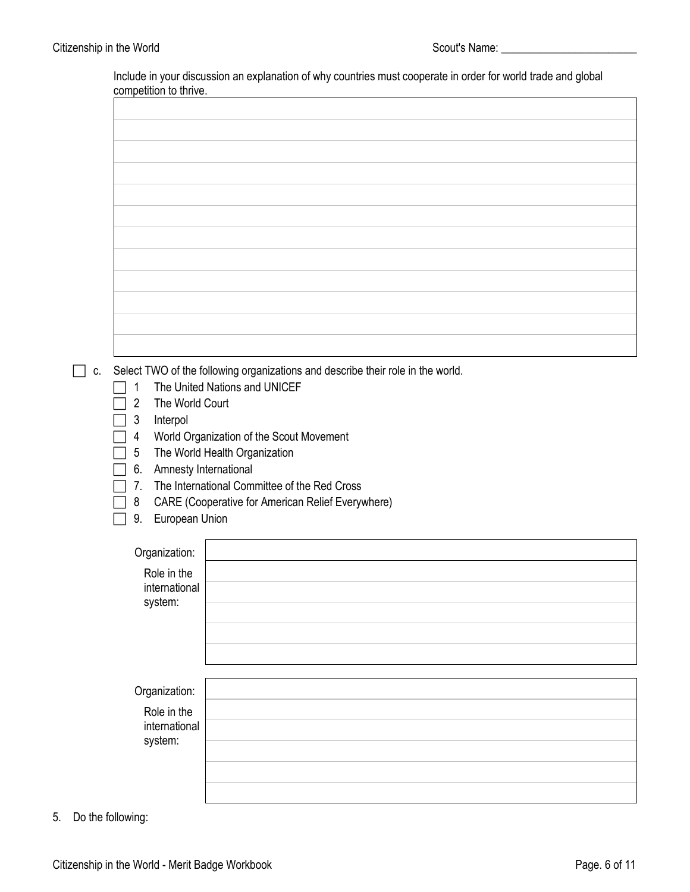Include in your discussion an explanation of why countries must cooperate in order for world trade and global competition to thrive.

| C. | $\mathbf{1}$<br>The World Court<br>$\overline{2}$<br>3<br>Interpol<br>$\overline{4}$<br>5<br>6. Amnesty International<br>7.<br>8<br>European Union<br>9.<br>Organization:<br>Role in the<br>international<br>system: | Select TWO of the following organizations and describe their role in the world.<br>The United Nations and UNICEF<br>World Organization of the Scout Movement<br>The World Health Organization<br>The International Committee of the Red Cross<br>CARE (Cooperative for American Relief Everywhere) |
|----|----------------------------------------------------------------------------------------------------------------------------------------------------------------------------------------------------------------------|----------------------------------------------------------------------------------------------------------------------------------------------------------------------------------------------------------------------------------------------------------------------------------------------------|
|    | Organization:<br>Role in the<br>international<br>system:                                                                                                                                                             |                                                                                                                                                                                                                                                                                                    |
|    |                                                                                                                                                                                                                      |                                                                                                                                                                                                                                                                                                    |

5. Do the following: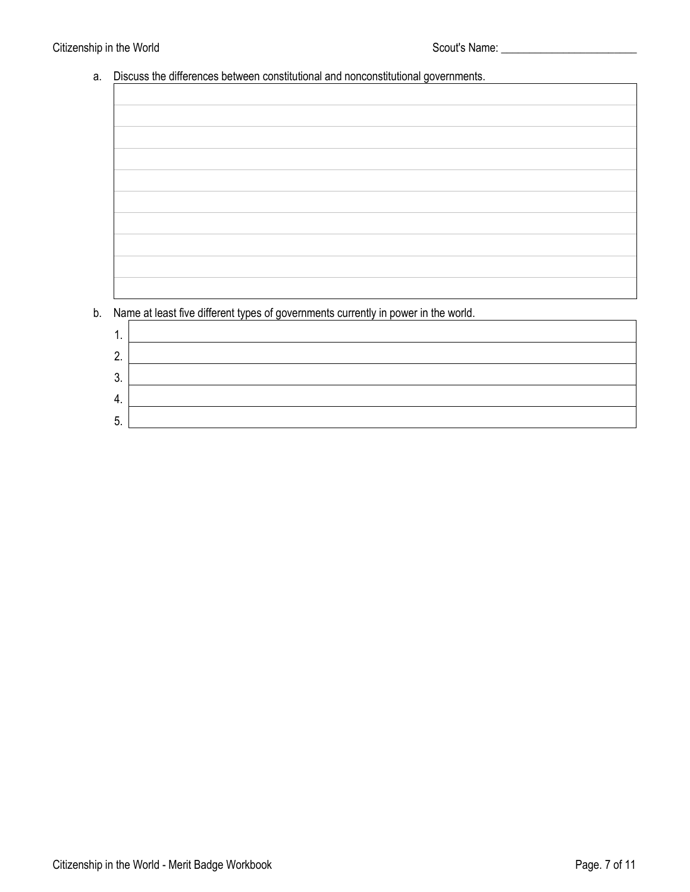## Citizenship in the World **Scout's Name:** Citizenship in the World **Scout's Name:** Citizenship in the World

# a. Discuss the differences between constitutional and nonconstitutional governments.

| b. Name at least five different types of governments currently in power in the world. |
|---------------------------------------------------------------------------------------|
| 1.                                                                                    |
|                                                                                       |
| 2.                                                                                    |
| 3                                                                                     |
|                                                                                       |

| -   |  |
|-----|--|
| . . |  |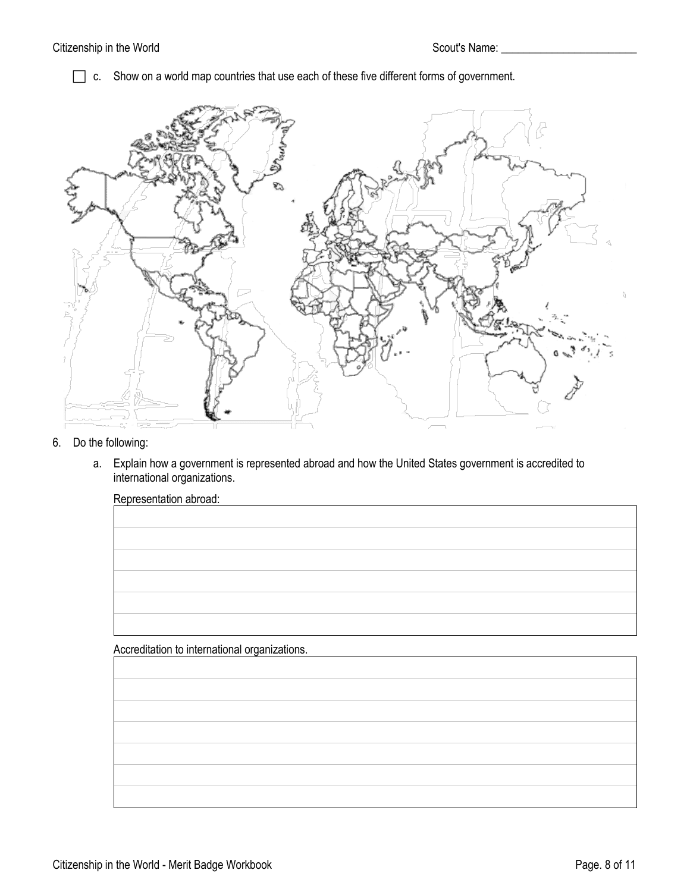c. Show on a world map countries that use each of these five different forms of government.



- 6. Do the following:
	- a. Explain how a government is represented abroad and how the United States government is accredited to international organizations.

| Representation abroad:                        |  |  |  |
|-----------------------------------------------|--|--|--|
|                                               |  |  |  |
|                                               |  |  |  |
|                                               |  |  |  |
|                                               |  |  |  |
|                                               |  |  |  |
|                                               |  |  |  |
|                                               |  |  |  |
| Accreditation to international organizations. |  |  |  |
|                                               |  |  |  |
|                                               |  |  |  |
|                                               |  |  |  |
|                                               |  |  |  |
|                                               |  |  |  |
|                                               |  |  |  |
|                                               |  |  |  |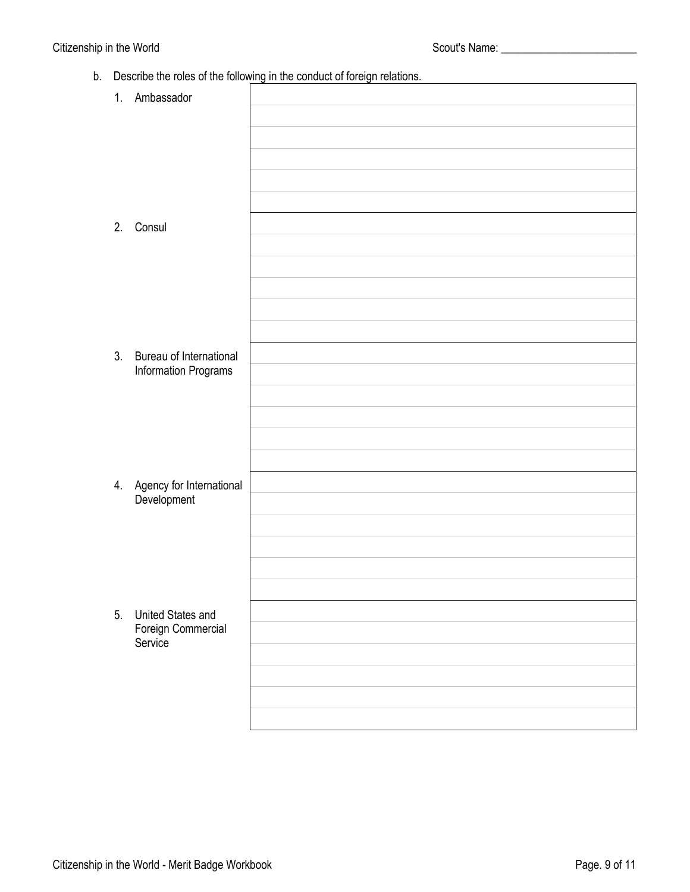b. Describe the roles of the following in the conduct of foreign relations.

|    | 1. Ambassador                              |  |
|----|--------------------------------------------|--|
|    |                                            |  |
|    |                                            |  |
|    |                                            |  |
|    |                                            |  |
|    |                                            |  |
| 2. | Consul                                     |  |
|    |                                            |  |
|    |                                            |  |
|    |                                            |  |
|    |                                            |  |
|    |                                            |  |
| 3. | Bureau of International                    |  |
|    | Information Programs                       |  |
|    |                                            |  |
|    |                                            |  |
|    |                                            |  |
|    |                                            |  |
|    | 4. Agency for International<br>Development |  |
|    |                                            |  |
|    |                                            |  |
|    |                                            |  |
|    |                                            |  |
|    |                                            |  |
| 5. | United States and                          |  |
|    | Foreign Commercial<br>Service              |  |
|    |                                            |  |
|    |                                            |  |
|    |                                            |  |
|    |                                            |  |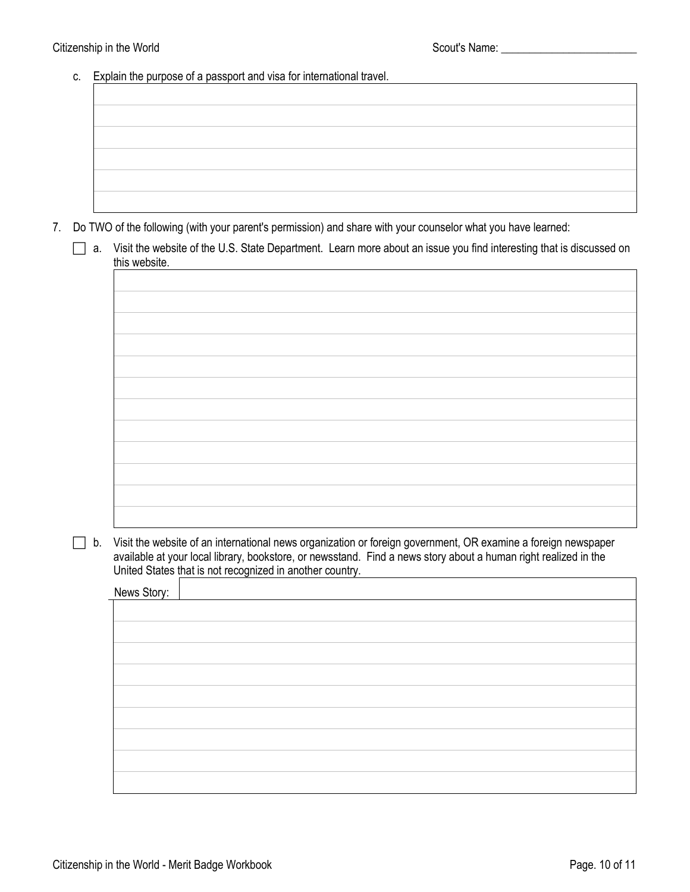c. Explain the purpose of a passport and visa for international travel.

|                                              | the control of the control of the control of |  |
|----------------------------------------------|----------------------------------------------|--|
| the control of the control of the control of |                                              |  |
|                                              |                                              |  |
|                                              |                                              |  |
|                                              |                                              |  |
|                                              |                                              |  |
|                                              |                                              |  |
|                                              |                                              |  |

7. Do TWO of the following (with your parent's permission) and share with your counselor what you have learned:

|               | Visit the website of the U.S. State Department. Learn more about an issue you find interesting that is discussed on |
|---------------|---------------------------------------------------------------------------------------------------------------------|
| this website. |                                                                                                                     |



 $\Box$  b. Visit the website of an international news organization or foreign government, OR examine a foreign newspaper available at your local library, bookstore, or newsstand. Find a news story about a human right realized in the United States that is not recognized in another country.

News Story: